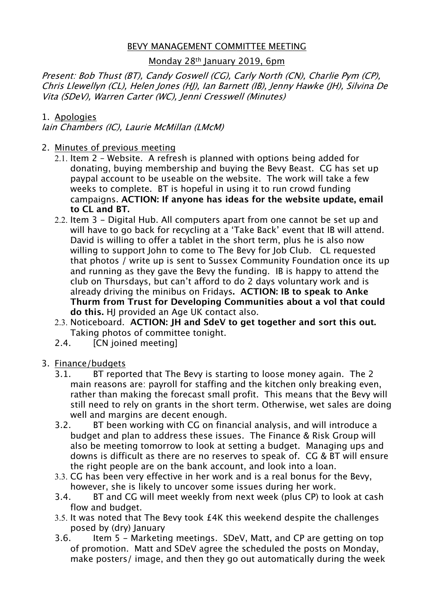## BEVY MANAGEMENT COMMITTEE MEETING

## Monday 28th January 2019, 6pm

Present: Bob Thust (BT), Candy Goswell (CG), Carly North (CN), Charlie Pym (CP), Chris Llewellyn (CL), Helen Jones (HJ), Ian Barnett (IB), Jenny Hawke (JH), Silvina De Vita (SDeV), Warren Carter (WC), Jenni Cresswell (Minutes)

### 1. Apologies

Iain Chambers (IC), Laurie McMillan (LMcM)

### 2. Minutes of previous meeting

- 2.1. Item 2 Website. A refresh is planned with options being added for donating, buying membership and buying the Bevy Beast. CG has set up paypal account to be useable on the website. The work will take a few weeks to complete. BT is hopeful in using it to run crowd funding campaigns. **ACTION: If anyone has ideas for the website update, email to CL and BT.**
- 2.2. Item 3 Digital Hub. All computers apart from one cannot be set up and will have to go back for recycling at a 'Take Back' event that IB will attend. David is willing to offer a tablet in the short term, plus he is also now willing to support John to come to The Bevy for Job Club. CL requested that photos / write up is sent to Sussex Community Foundation once its up and running as they gave the Bevy the funding. IB is happy to attend the club on Thursdays, but can't afford to do 2 days voluntary work and is already driving the minibus on Fridays**. ACTION: IB to speak to Anke Thurm from Trust for Developing Communities about a vol that could do this.** HJ provided an Age UK contact also.
- 2.3. Noticeboard. **ACTION: JH and SdeV to get together and sort this out.** Taking photos of committee tonight.
- 2.4. [CN joined meeting]
- 3. Finance/budgets
	- 3.1. BT reported that The Bevy is starting to loose money again. The 2 main reasons are: payroll for staffing and the kitchen only breaking even, rather than making the forecast small profit. This means that the Bevy will still need to rely on grants in the short term. Otherwise, wet sales are doing well and margins are decent enough.
	- 3.2. BT been working with CG on financial analysis, and will introduce a budget and plan to address these issues. The Finance & Risk Group will also be meeting tomorrow to look at setting a budget. Managing ups and downs is difficult as there are no reserves to speak of. CG & BT will ensure the right people are on the bank account, and look into a loan.
	- 3.3. CG has been very effective in her work and is a real bonus for the Bevy, however, she is likely to uncover some issues during her work.
	- 3.4. BT and CG will meet weekly from next week (plus CP) to look at cash flow and budget.
	- 3.5. It was noted that The Bevy took £4K this weekend despite the challenges posed by (dry) January
	- 3.6. Item 5 Marketing meetings. SDeV, Matt, and CP are getting on top of promotion. Matt and SDeV agree the scheduled the posts on Monday, make posters/ image, and then they go out automatically during the week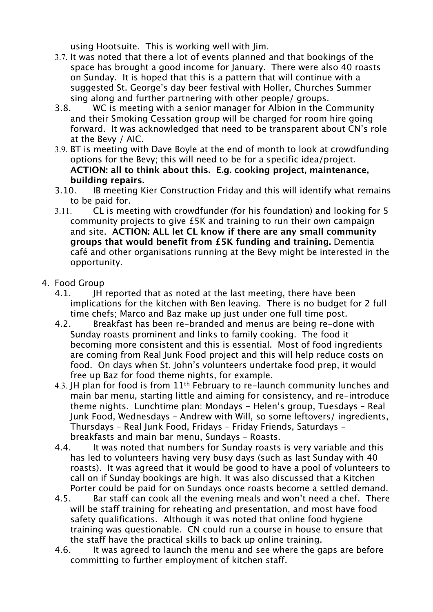using Hootsuite. This is working well with Jim.

- 3.7. It was noted that there a lot of events planned and that bookings of the space has brought a good income for January. There were also 40 roasts on Sunday. It is hoped that this is a pattern that will continue with a suggested St. George's day beer festival with Holler, Churches Summer sing along and further partnering with other people/ groups.
- 3.8. WC is meeting with a senior manager for Albion in the Community and their Smoking Cessation group will be charged for room hire going forward. It was acknowledged that need to be transparent about CN's role at the Bevy / AIC.
- 3.9. BT is meeting with Dave Boyle at the end of month to look at crowdfunding options for the Bevy; this will need to be for a specific idea/project. **ACTION: all to think about this. E.g. cooking project, maintenance, building repairs.**
- 3.10. IB meeting Kier Construction Friday and this will identify what remains to be paid for.
- 3.11. CL is meeting with crowdfunder (for his foundation) and looking for 5 community projects to give £5K and training to run their own campaign and site. **ACTION: ALL let CL know if there are any small community groups that would benefit from £5K funding and training.** Dementia café and other organisations running at the Bevy might be interested in the opportunity.
- 4. Food Group
	- 4.1. **IH reported that as noted at the last meeting, there have been** implications for the kitchen with Ben leaving. There is no budget for 2 full time chefs; Marco and Baz make up just under one full time post.
	- 4.2. Breakfast has been re-branded and menus are being re-done with Sunday roasts prominent and links to family cooking. The food it becoming more consistent and this is essential. Most of food ingredients are coming from Real Junk Food project and this will help reduce costs on food. On days when St. John's volunteers undertake food prep, it would free up Baz for food theme nights, for example.
	- 4.3. JH plan for food is from 11<sup>th</sup> February to re-launch community lunches and main bar menu, starting little and aiming for consistency, and re-introduce theme nights. Lunchtime plan: Mondays - Helen's group, Tuesdays – Real Junk Food, Wednesdays – Andrew with Will, so some leftovers/ ingredients, Thursdays – Real Junk Food, Fridays – Friday Friends, Saturdays breakfasts and main bar menu, Sundays – Roasts.
	- 4.4. It was noted that numbers for Sunday roasts is very variable and this has led to volunteers having very busy days (such as last Sunday with 40 roasts). It was agreed that it would be good to have a pool of volunteers to call on if Sunday bookings are high. It was also discussed that a Kitchen Porter could be paid for on Sundays once roasts become a settled demand.
	- 4.5. Bar staff can cook all the evening meals and won't need a chef. There will be staff training for reheating and presentation, and most have food safety qualifications. Although it was noted that online food hygiene training was questionable. CN could run a course in house to ensure that the staff have the practical skills to back up online training.
	- 4.6. It was agreed to launch the menu and see where the gaps are before committing to further employment of kitchen staff.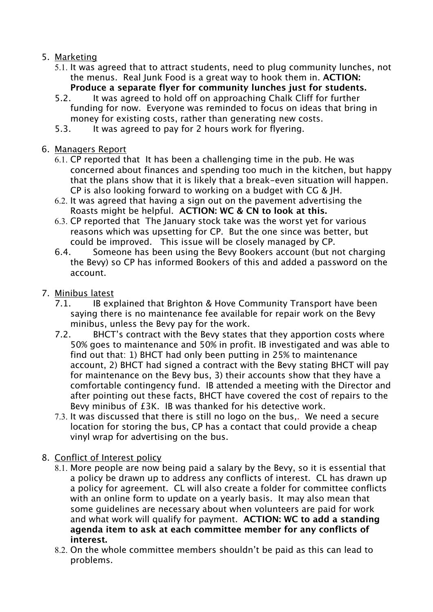# 5. Marketing

- 5.1. It was agreed that to attract students, need to plug community lunches, not the menus. Real Junk Food is a great way to hook them in. **ACTION: Produce a separate flyer for community lunches just for students.**
- 5.2. It was agreed to hold off on approaching Chalk Cliff for further funding for now. Everyone was reminded to focus on ideas that bring in money for existing costs, rather than generating new costs.
- 5.3. It was agreed to pay for 2 hours work for flyering.
- 6. Managers Report
	- 6.1. CP reported that It has been a challenging time in the pub. He was concerned about finances and spending too much in the kitchen, but happy that the plans show that it is likely that a break-even situation will happen. CP is also looking forward to working on a budget with CG & JH.
	- 6.2. It was agreed that having a sign out on the pavement advertising the Roasts might be helpful. **ACTION: WC & CN to look at this.**
	- 6.3. CP reported that The January stock take was the worst yet for various reasons which was upsetting for CP. But the one since was better, but could be improved. This issue will be closely managed by CP.
	- 6.4. Someone has been using the Bevy Bookers account (but not charging the Bevy) so CP has informed Bookers of this and added a password on the account.
- 7. Minibus latest
	- 7.1. IB explained that Brighton & Hove Community Transport have been saying there is no maintenance fee available for repair work on the Bevy minibus, unless the Bevy pay for the work.
	- 7.2. BHCT's contract with the Bevy states that they apportion costs where 50% goes to maintenance and 50% in profit. IB investigated and was able to find out that: 1) BHCT had only been putting in 25% to maintenance account, 2) BHCT had signed a contract with the Bevy stating BHCT will pay for maintenance on the Bevy bus, 3) their accounts show that they have a comfortable contingency fund. IB attended a meeting with the Director and after pointing out these facts, BHCT have covered the cost of repairs to the Bevy minibus of £3K. IB was thanked for his detective work.
	- 7.3. It was discussed that there is still no logo on the bus,. We need a secure location for storing the bus, CP has a contact that could provide a cheap vinyl wrap for advertising on the bus.
- 8. Conflict of Interest policy
	- 8.1. More people are now being paid a salary by the Bevy, so it is essential that a policy be drawn up to address any conflicts of interest. CL has drawn up a policy for agreement. CL will also create a folder for committee conflicts with an online form to update on a yearly basis. It may also mean that some guidelines are necessary about when volunteers are paid for work and what work will qualify for payment. **ACTION: WC to add a standing agenda item to ask at each committee member for any conflicts of interest.**
	- 8.2. On the whole committee members shouldn't be paid as this can lead to problems.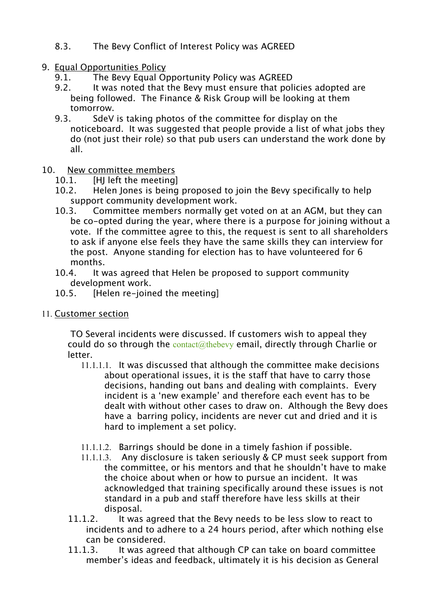- 8.3. The Bevy Conflict of Interest Policy was AGREED
- 9. Equal Opportunities Policy
	- 9.1. The Bevy Equal Opportunity Policy was AGREED
	- 9.2. It was noted that the Bevy must ensure that policies adopted are being followed. The Finance & Risk Group will be looking at them tomorrow.
	- 9.3. SdeV is taking photos of the committee for display on the noticeboard. It was suggested that people provide a list of what jobs they do (not just their role) so that pub users can understand the work done by all.
- 10. New committee members
	- 10.1. [HJ left the meeting]
	- 10.2. Helen Jones is being proposed to join the Bevy specifically to help support community development work.
	- 10.3. Committee members normally get voted on at an AGM, but they can be co-opted during the year, where there is a purpose for joining without a vote. If the committee agree to this, the request is sent to all shareholders to ask if anyone else feels they have the same skills they can interview for the post. Anyone standing for election has to have volunteered for 6 months.
	- 10.4. It was agreed that Helen be proposed to support community development work.
	- 10.5. [Helen re-joined the meeting]
- 11. Customer section

TO Several incidents were discussed. If customers wish to appeal they could do so through the  $contact@theory$  email, directly through Charlie or letter.

- 11.1.1.1. It was discussed that although the committee make decisions about operational issues, it is the staff that have to carry those decisions, handing out bans and dealing with complaints. Every incident is a 'new example' and therefore each event has to be dealt with without other cases to draw on. Although the Bevy does have a barring policy, incidents are never cut and dried and it is hard to implement a set policy.
- 11.1.1.2. Barrings should be done in a timely fashion if possible.
- 11.1.1.3. Any disclosure is taken seriously & CP must seek support from the committee, or his mentors and that he shouldn't have to make the choice about when or how to pursue an incident. It was acknowledged that training specifically around these issues is not standard in a pub and staff therefore have less skills at their disposal.
- 11.1.2. It was agreed that the Bevy needs to be less slow to react to incidents and to adhere to a 24 hours period, after which nothing else can be considered.
- 11.1.3. It was agreed that although CP can take on board committee member's ideas and feedback, ultimately it is his decision as General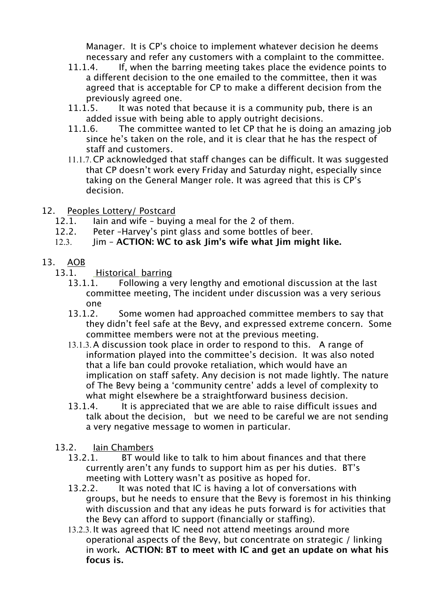Manager. It is CP's choice to implement whatever decision he deems necessary and refer any customers with a complaint to the committee.

- 11.1.4. If, when the barring meeting takes place the evidence points to a different decision to the one emailed to the committee, then it was agreed that is acceptable for CP to make a different decision from the previously agreed one.
- 11.1.5. It was noted that because it is a community pub, there is an added issue with being able to apply outright decisions.
- 11.1.6. The committee wanted to let CP that he is doing an amazing job since he's taken on the role, and it is clear that he has the respect of staff and customers.
- 11.1.7.CP acknowledged that staff changes can be difficult. It was suggested that CP doesn't work every Friday and Saturday night, especially since taking on the General Manger role. It was agreed that this is CP's decision.
- 12. Peoples Lottery/ Postcard
	- 12.1. Iain and wife buying a meal for the 2 of them.
	- 12.2. Peter –Harvey's pint glass and some bottles of beer.
	- 12.3. Jim **ACTION: WC to ask Jim's wife what Jim might like.**
- 13. AOB
	- 13.1. Historical barring
		- 13.1.1. Following a very lengthy and emotional discussion at the last committee meeting, The incident under discussion was a very serious one
		- 13.1.2. Some women had approached committee members to say that they didn't feel safe at the Bevy, and expressed extreme concern. Some committee members were not at the previous meeting.
		- 13.1.3.A discussion took place in order to respond to this. A range of information played into the committee's decision. It was also noted that a life ban could provoke retaliation, which would have an implication on staff safety. Any decision is not made lightly. The nature of The Bevy being a 'community centre' adds a level of complexity to what might elsewhere be a straightforward business decision.
		- 13.1.4. It is appreciated that we are able to raise difficult issues and talk about the decision, but we need to be careful we are not sending a very negative message to women in particular.
	- 13.2. Iain Chambers
		- 13.2.1. BT would like to talk to him about finances and that there currently aren't any funds to support him as per his duties. BT's meeting with Lottery wasn't as positive as hoped for.
		- 13.2.2. It was noted that IC is having a lot of conversations with groups, but he needs to ensure that the Bevy is foremost in his thinking with discussion and that any ideas he puts forward is for activities that the Bevy can afford to support (financially or staffing).
		- 13.2.3. It was agreed that IC need not attend meetings around more operational aspects of the Bevy, but concentrate on strategic / linking in work**. ACTION: BT to meet with IC and get an update on what his focus is.**